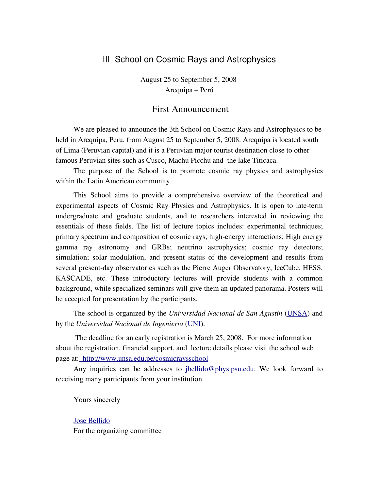## III School on Cosmic Rays and Astrophysics

August 25 to September 5, 2008 Arequipa – Perú

#### First Announcement

We are pleased to announce the 3th School on Cosmic Rays and Astrophysics to be held in Arequipa, Peru, from August 25 to September 5, 2008. Arequipa is located south of Lima (Peruvian capital) and it is a Peruvian major tourist destination close to other famous Peruvian sites such as Cusco, Machu Picchu and the lake Titicaca.

The purpose of the School is to promote cosmic ray physics and astrophysics within the Latin American community.

This School aims to provide a comprehensive overview of the theoretical and experimental aspects of Cosmic Ray Physics and Astrophysics. It is open to late-term undergraduate and graduate students, and to researchers interested in reviewing the essentials of these fields. The list of lecture topics includes: experimental techniques; primary spectrum and composition of cosmic rays; highenergy interactions; High energy gamma ray astronomy and GRBs; neutrino astrophysics; cosmic ray detectors; simulation; solar modulation, and present status of the development and results from several present-day observatories such as the Pierre Auger Observatory, IceCube, HESS, KASCADE, etc. These introductory lectures will provide students with a common background, while specialized seminars will give them an updated panorama. Posters will be accepted for presentation by the participants.

The school is organized by the *Universidad Nacional de San Agustín* (UNSA) and by the *Universidad Nacional de Ingenieria* (UNI).

The deadline for an early registration is March 25, 2008. For more information about the registration, financial support, and lecture details please visit the school web page at: http://www.unsa.edu.pe/cosmicraysschool

Any inquiries can be addresses to jbellido@phys.psu.edu. We look forward to receiving many participants from your institution.

Yours sincerely

Jose Bellido For the organizing committee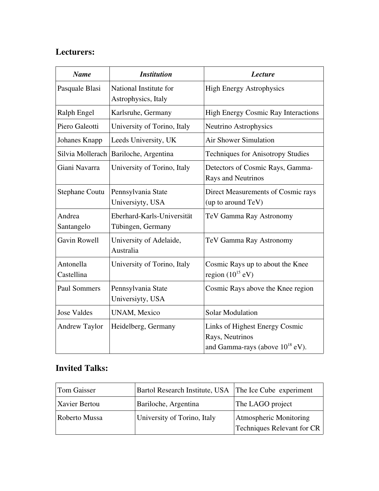# Lecturers:

| <b>Name</b>             | <b>Institution</b>                              | <b>Lecture</b>                                                                            |
|-------------------------|-------------------------------------------------|-------------------------------------------------------------------------------------------|
| Pasquale Blasi          | National Institute for<br>Astrophysics, Italy   | <b>High Energy Astrophysics</b>                                                           |
| Ralph Engel             | Karlsruhe, Germany                              | <b>High Energy Cosmic Ray Interactions</b>                                                |
| Piero Galeotti          | University of Torino, Italy                     | Neutrino Astrophysics                                                                     |
| Johanes Knapp           | Leeds University, UK                            | <b>Air Shower Simulation</b>                                                              |
| Silvia Mollerach        | Bariloche, Argentina                            | <b>Techniques for Anisotropy Studies</b>                                                  |
| Giani Navarra           | University of Torino, Italy                     | Detectors of Cosmic Rays, Gamma-<br>Rays and Neutrinos                                    |
| <b>Stephane Coutu</b>   | Pennsylvania State<br>Universiyty, USA          | Direct Measurements of Cosmic rays<br>(up to around TeV)                                  |
| Andrea<br>Santangelo    | Eberhard-Karls-Universität<br>Tübingen, Germany | TeV Gamma Ray Astronomy                                                                   |
| Gavin Rowell            | University of Adelaide,<br>Australia            | TeV Gamma Ray Astronomy                                                                   |
| Antonella<br>Castellina | University of Torino, Italy                     | Cosmic Rays up to about the Knee<br>region $(10^{15}$ eV)                                 |
| <b>Paul Sommers</b>     | Pennsylvania State<br>Universiyty, USA          | Cosmic Rays above the Knee region                                                         |
| <b>Jose Valdes</b>      | <b>UNAM, Mexico</b>                             | <b>Solar Modulation</b>                                                                   |
| <b>Andrew Taylor</b>    | Heidelberg, Germany                             | Links of Highest Energy Cosmic<br>Rays, Neutrinos<br>and Gamma-rays (above $10^{18}$ eV). |

# Invited Talks:

| Tom Gaisser   | Bartol Research Institute, USA The Ice Cube experiment |                                                             |
|---------------|--------------------------------------------------------|-------------------------------------------------------------|
| Xavier Bertou | Bariloche, Argentina                                   | The LAGO project                                            |
| Roberto Mussa | University of Torino, Italy                            | Atmospheric Monitoring<br><b>Techniques Relevant for CR</b> |